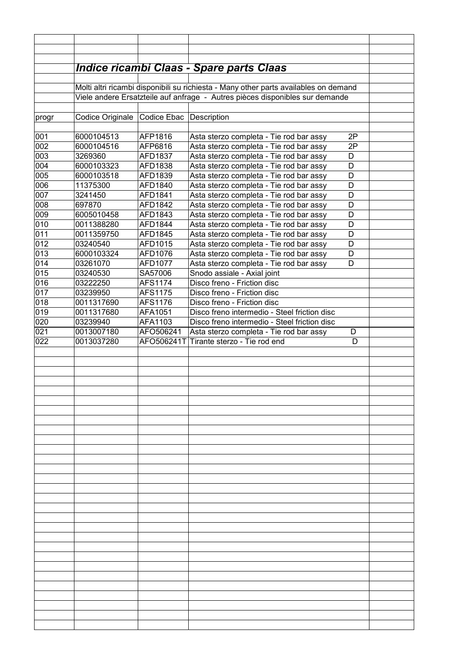|            | <b>Indice ricambi Claas - Spare parts Claas</b>                                      |                           |                                                                                              |  |  |  |  |  |  |
|------------|--------------------------------------------------------------------------------------|---------------------------|----------------------------------------------------------------------------------------------|--|--|--|--|--|--|
|            | Molti altri ricambi disponibili su richiesta - Many other parts availables on demand |                           |                                                                                              |  |  |  |  |  |  |
|            | Viele andere Ersatzteile auf anfrage - Autres pièces disponibles sur demande         |                           |                                                                                              |  |  |  |  |  |  |
|            |                                                                                      |                           |                                                                                              |  |  |  |  |  |  |
| progr      | Codice Originale                                                                     | Codice Ebac   Description |                                                                                              |  |  |  |  |  |  |
| 001        | 6000104513                                                                           | AFP1816                   | 2P<br>Asta sterzo completa - Tie rod bar assy                                                |  |  |  |  |  |  |
| 002        | 6000104516                                                                           | AFP6816                   | Asta sterzo completa - Tie rod bar assy<br>2P                                                |  |  |  |  |  |  |
| 003        | 3269360                                                                              | AFD1837                   | Asta sterzo completa - Tie rod bar assy<br>D                                                 |  |  |  |  |  |  |
| 004        | 6000103323                                                                           | AFD1838                   | Asta sterzo completa - Tie rod bar assy<br>D                                                 |  |  |  |  |  |  |
| 005        | 6000103518                                                                           | AFD1839                   | Asta sterzo completa - Tie rod bar assy<br>D                                                 |  |  |  |  |  |  |
| 006<br>007 | 11375300<br>3241450                                                                  | AFD1840<br>AFD1841        | Asta sterzo completa - Tie rod bar assy<br>D<br>Asta sterzo completa - Tie rod bar assy<br>D |  |  |  |  |  |  |
| 008        | 697870                                                                               | AFD1842                   | Asta sterzo completa - Tie rod bar assy<br>D                                                 |  |  |  |  |  |  |
| 009        | 6005010458                                                                           | AFD1843                   | Asta sterzo completa - Tie rod bar assy<br>D                                                 |  |  |  |  |  |  |
| 010        | 0011388280                                                                           | AFD1844                   | Asta sterzo completa - Tie rod bar assy<br>D                                                 |  |  |  |  |  |  |
| 011        | 0011359750                                                                           | AFD1845                   | D<br>Asta sterzo completa - Tie rod bar assy                                                 |  |  |  |  |  |  |
| 012        | 03240540                                                                             | AFD1015                   | Asta sterzo completa - Tie rod bar assy<br>D                                                 |  |  |  |  |  |  |
| 013        | 6000103324                                                                           | AFD1076                   | Asta sterzo completa - Tie rod bar assy<br>D                                                 |  |  |  |  |  |  |
| 014        | 03261070                                                                             | AFD1077                   | Asta sterzo completa - Tie rod bar assy<br>D                                                 |  |  |  |  |  |  |
| 015        | 03240530                                                                             | SA57006                   | Snodo assiale - Axial joint                                                                  |  |  |  |  |  |  |
| 016<br>017 | 03222250<br>03239950                                                                 | AFS1174<br><b>AFS1175</b> | Disco freno - Friction disc<br>Disco freno - Friction disc                                   |  |  |  |  |  |  |
| 018        | 0011317690                                                                           | AFS1176                   | Disco freno - Friction disc                                                                  |  |  |  |  |  |  |
| 019        | 0011317680                                                                           | AFA1051                   | Disco freno intermedio - Steel friction disc                                                 |  |  |  |  |  |  |
| 020        | 03239940                                                                             | AFA1103                   | Disco freno intermedio - Steel friction disc                                                 |  |  |  |  |  |  |
| 021        | 0013007180                                                                           | AFO506241                 | Asta sterzo completa - Tie rod bar assy<br>D                                                 |  |  |  |  |  |  |
| 022        | 0013037280                                                                           |                           | AFO506241T Tirante sterzo - Tie rod end<br>D                                                 |  |  |  |  |  |  |
|            |                                                                                      |                           |                                                                                              |  |  |  |  |  |  |
|            |                                                                                      |                           |                                                                                              |  |  |  |  |  |  |
|            |                                                                                      |                           |                                                                                              |  |  |  |  |  |  |
|            |                                                                                      |                           |                                                                                              |  |  |  |  |  |  |
|            |                                                                                      |                           |                                                                                              |  |  |  |  |  |  |
|            |                                                                                      |                           |                                                                                              |  |  |  |  |  |  |
|            |                                                                                      |                           |                                                                                              |  |  |  |  |  |  |
|            |                                                                                      |                           |                                                                                              |  |  |  |  |  |  |
|            |                                                                                      |                           |                                                                                              |  |  |  |  |  |  |
|            |                                                                                      |                           |                                                                                              |  |  |  |  |  |  |
|            |                                                                                      |                           |                                                                                              |  |  |  |  |  |  |
|            |                                                                                      |                           |                                                                                              |  |  |  |  |  |  |
|            |                                                                                      |                           |                                                                                              |  |  |  |  |  |  |
|            |                                                                                      |                           |                                                                                              |  |  |  |  |  |  |
|            |                                                                                      |                           |                                                                                              |  |  |  |  |  |  |
|            |                                                                                      |                           |                                                                                              |  |  |  |  |  |  |
|            |                                                                                      |                           |                                                                                              |  |  |  |  |  |  |
|            |                                                                                      |                           |                                                                                              |  |  |  |  |  |  |
|            |                                                                                      |                           |                                                                                              |  |  |  |  |  |  |
|            |                                                                                      |                           |                                                                                              |  |  |  |  |  |  |
|            |                                                                                      |                           |                                                                                              |  |  |  |  |  |  |
|            |                                                                                      |                           |                                                                                              |  |  |  |  |  |  |
|            |                                                                                      |                           |                                                                                              |  |  |  |  |  |  |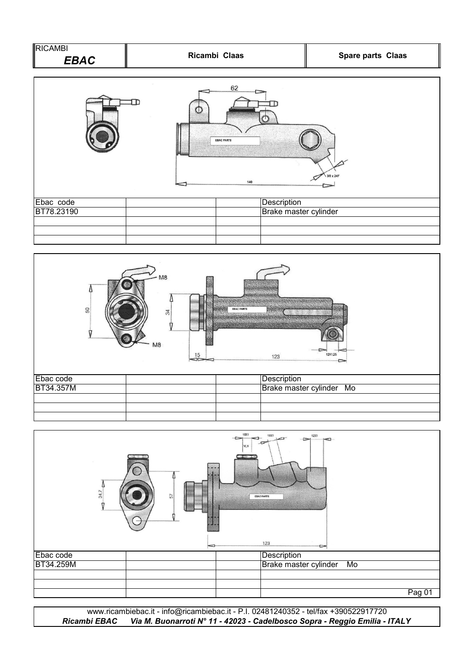





*Ricambi EBAC Via M. Buonarroti N° 11 - 42023 - Cadelbosco Sopra - Reggio Emilia - ITALY* www.ricambiebac.it - info@ricambiebac.it - P.I. 02481240352 - tel/fax +390522917720